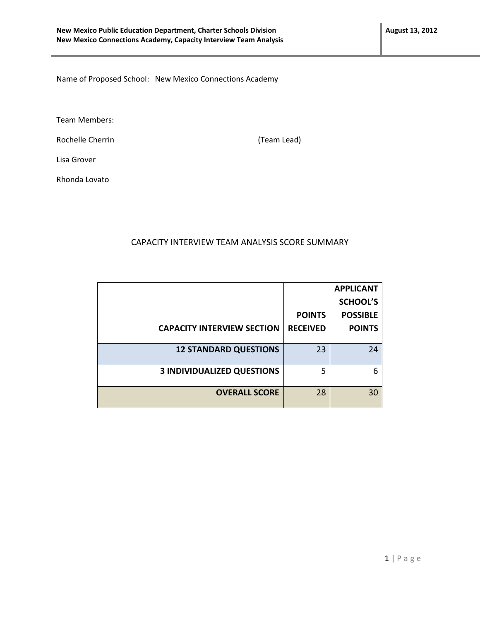Name of Proposed School: New Mexico Connections Academy

Team Members:

Rochelle Cherrin **Manual Exception (Team Lead)** (Team Lead)

Lisa Grover

Rhonda Lovato

## CAPACITY INTERVIEW TEAM ANALYSIS SCORE SUMMARY

|                                   |                 | <b>APPLICANT</b> |
|-----------------------------------|-----------------|------------------|
|                                   |                 | <b>SCHOOL'S</b>  |
|                                   | <b>POINTS</b>   | <b>POSSIBLE</b>  |
| <b>CAPACITY INTERVIEW SECTION</b> | <b>RECEIVED</b> | <b>POINTS</b>    |
|                                   |                 |                  |
| <b>12 STANDARD QUESTIONS</b>      | 23              | 24               |
|                                   |                 |                  |
| <b>3 INDIVIDUALIZED QUESTIONS</b> | 5               | 6                |
|                                   |                 |                  |
| <b>OVERALL SCORE</b>              | 28              | 30               |
|                                   |                 |                  |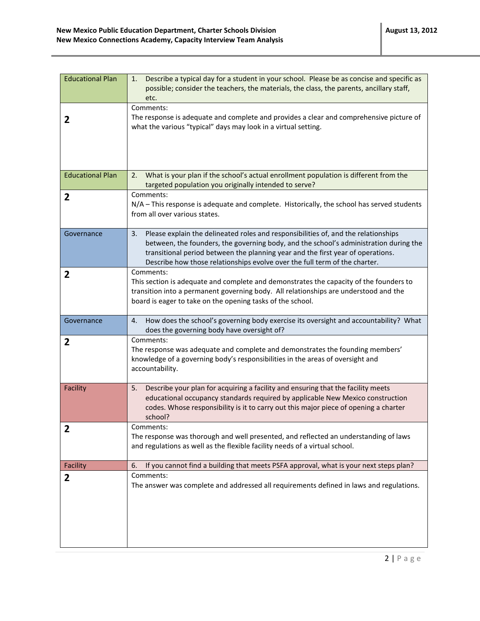| <b>Educational Plan</b> | Describe a typical day for a student in your school. Please be as concise and specific as<br>1.<br>possible; consider the teachers, the materials, the class, the parents, ancillary staff,<br>etc.                                                                                                                                                |
|-------------------------|----------------------------------------------------------------------------------------------------------------------------------------------------------------------------------------------------------------------------------------------------------------------------------------------------------------------------------------------------|
| 2                       | Comments:<br>The response is adequate and complete and provides a clear and comprehensive picture of<br>what the various "typical" days may look in a virtual setting.                                                                                                                                                                             |
| <b>Educational Plan</b> | What is your plan if the school's actual enrollment population is different from the<br>2.<br>targeted population you originally intended to serve?                                                                                                                                                                                                |
| 2                       | Comments:<br>N/A - This response is adequate and complete. Historically, the school has served students<br>from all over various states.                                                                                                                                                                                                           |
| Governance              | Please explain the delineated roles and responsibilities of, and the relationships<br>3.<br>between, the founders, the governing body, and the school's administration during the<br>transitional period between the planning year and the first year of operations.<br>Describe how those relationships evolve over the full term of the charter. |
| 2                       | Comments:<br>This section is adequate and complete and demonstrates the capacity of the founders to<br>transition into a permanent governing body. All relationships are understood and the<br>board is eager to take on the opening tasks of the school.                                                                                          |
| Governance              | How does the school's governing body exercise its oversight and accountability? What<br>4.<br>does the governing body have oversight of?                                                                                                                                                                                                           |
| 2                       | Comments:<br>The response was adequate and complete and demonstrates the founding members'<br>knowledge of a governing body's responsibilities in the areas of oversight and<br>accountability.                                                                                                                                                    |
| Facility                | Describe your plan for acquiring a facility and ensuring that the facility meets<br>5.<br>educational occupancy standards required by applicable New Mexico construction<br>codes. Whose responsibility is it to carry out this major piece of opening a charter<br>school?                                                                        |
| 2                       | Comments:<br>The response was thorough and well presented, and reflected an understanding of laws<br>and regulations as well as the flexible facility needs of a virtual school.                                                                                                                                                                   |
| Facility                | If you cannot find a building that meets PSFA approval, what is your next steps plan?<br>6.                                                                                                                                                                                                                                                        |
| 2                       | Comments:<br>The answer was complete and addressed all requirements defined in laws and regulations.                                                                                                                                                                                                                                               |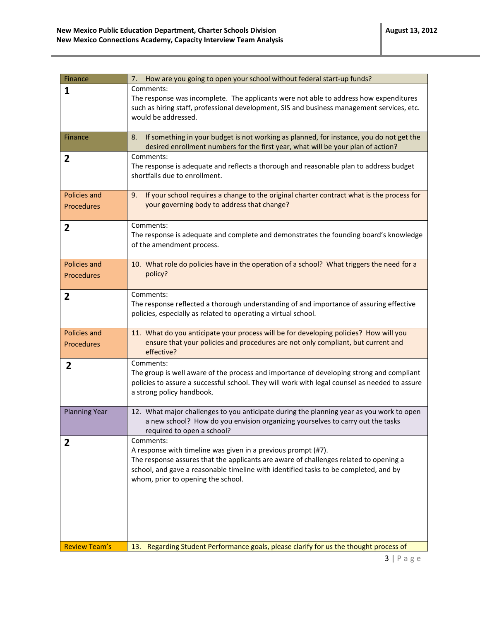| Finance                           | How are you going to open your school without federal start-up funds?<br>7.                                                                                                                                                                                                                       |
|-----------------------------------|---------------------------------------------------------------------------------------------------------------------------------------------------------------------------------------------------------------------------------------------------------------------------------------------------|
| $\mathbf{1}$                      | Comments:<br>The response was incomplete. The applicants were not able to address how expenditures<br>such as hiring staff, professional development, SIS and business management services, etc.<br>would be addressed.                                                                           |
| Finance                           | If something in your budget is not working as planned, for instance, you do not get the<br>8.<br>desired enrollment numbers for the first year, what will be your plan of action?                                                                                                                 |
| $\overline{2}$                    | Comments:<br>The response is adequate and reflects a thorough and reasonable plan to address budget<br>shortfalls due to enrollment.                                                                                                                                                              |
| Policies and<br><b>Procedures</b> | 9. If your school requires a change to the original charter contract what is the process for<br>your governing body to address that change?                                                                                                                                                       |
| $\overline{\mathbf{2}}$           | Comments:<br>The response is adequate and complete and demonstrates the founding board's knowledge<br>of the amendment process.                                                                                                                                                                   |
| Policies and<br><b>Procedures</b> | 10. What role do policies have in the operation of a school? What triggers the need for a<br>policy?                                                                                                                                                                                              |
| 2                                 | Comments:<br>The response reflected a thorough understanding of and importance of assuring effective<br>policies, especially as related to operating a virtual school.                                                                                                                            |
| Policies and<br><b>Procedures</b> | 11. What do you anticipate your process will be for developing policies? How will you<br>ensure that your policies and procedures are not only compliant, but current and<br>effective?                                                                                                           |
| $\overline{2}$                    | Comments:<br>The group is well aware of the process and importance of developing strong and compliant<br>policies to assure a successful school. They will work with legal counsel as needed to assure<br>a strong policy handbook.                                                               |
| <b>Planning Year</b>              | 12. What major challenges to you anticipate during the planning year as you work to open<br>a new school? How do you envision organizing yourselves to carry out the tasks<br>required to open a school?                                                                                          |
| 2                                 | Comments:<br>A response with timeline was given in a previous prompt (#7).<br>The response assures that the applicants are aware of challenges related to opening a<br>school, and gave a reasonable timeline with identified tasks to be completed, and by<br>whom, prior to opening the school. |
| <b>Review Team's</b>              | Regarding Student Performance goals, please clarify for us the thought process of<br>13.                                                                                                                                                                                                          |